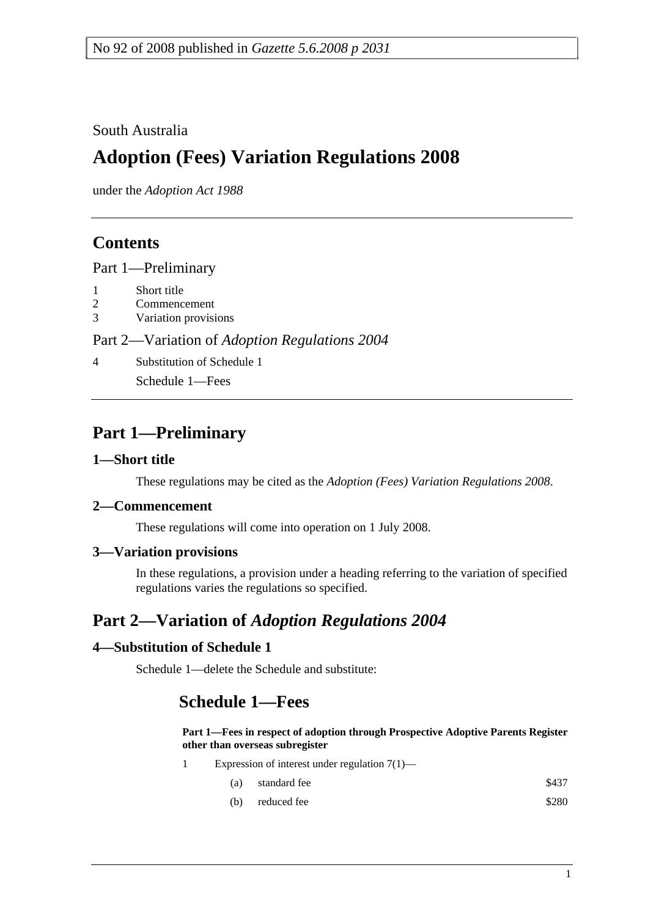### South Australia

# **Adoption (Fees) Variation Regulations 2008**

under the *Adoption Act 1988*

# **Contents**

Part 1—Preliminary

- 1 Short title
- 2 Commencement
- 3 Variation provisions

Part 2—Variation of *Adoption Regulations 2004*

4 Substitution of Schedule 1

Schedule 1—Fees

# **Part 1—Preliminary**

### **1—Short title**

These regulations may be cited as the *Adoption (Fees) Variation Regulations 2008*.

### **2—Commencement**

These regulations will come into operation on 1 July 2008.

### **3—Variation provisions**

In these regulations, a provision under a heading referring to the variation of specified regulations varies the regulations so specified.

# **Part 2—Variation of** *Adoption Regulations 2004*

### **4—Substitution of Schedule 1**

Schedule 1—delete the Schedule and substitute:

# **Schedule 1—Fees**

**Part 1—Fees in respect of adoption through Prospective Adoptive Parents Register other than overseas subregister**

- 1 Expression of interest under regulation 7(1)—
	- (a) standard fee \$437
	- (b) reduced fee  $$280$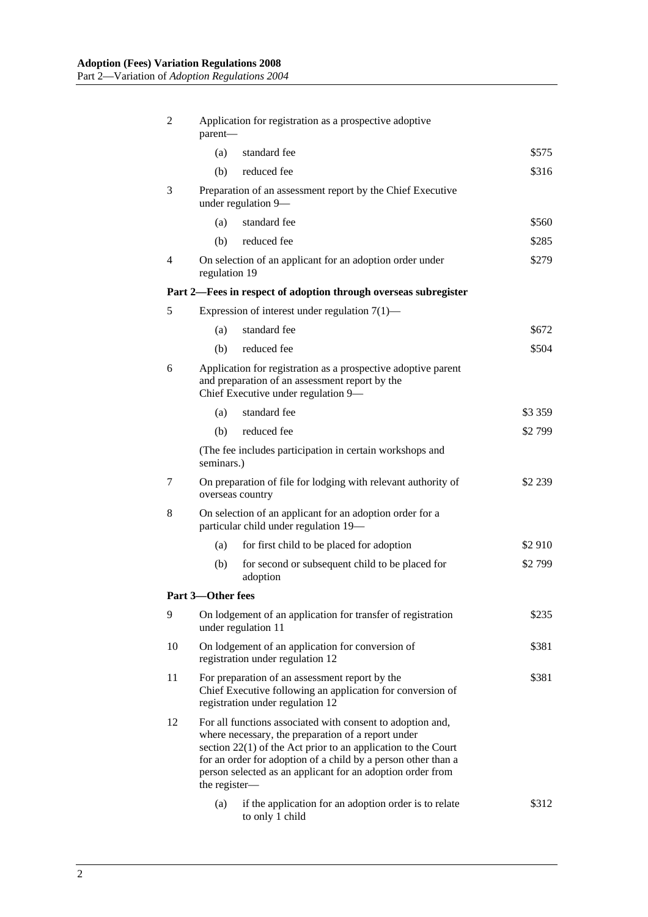| 2                                                               | Application for registration as a prospective adoptive<br>parent-                                                                                                                                                                                                                                                                   |                                                                                    |         |  |  |
|-----------------------------------------------------------------|-------------------------------------------------------------------------------------------------------------------------------------------------------------------------------------------------------------------------------------------------------------------------------------------------------------------------------------|------------------------------------------------------------------------------------|---------|--|--|
|                                                                 | (a)                                                                                                                                                                                                                                                                                                                                 | standard fee                                                                       | \$575   |  |  |
|                                                                 | (b)                                                                                                                                                                                                                                                                                                                                 | reduced fee                                                                        | \$316   |  |  |
| 3                                                               |                                                                                                                                                                                                                                                                                                                                     | Preparation of an assessment report by the Chief Executive<br>under regulation 9-  |         |  |  |
|                                                                 | (a)                                                                                                                                                                                                                                                                                                                                 | standard fee                                                                       | \$560   |  |  |
|                                                                 | (b)                                                                                                                                                                                                                                                                                                                                 | reduced fee                                                                        | \$285   |  |  |
| 4                                                               | regulation 19                                                                                                                                                                                                                                                                                                                       | On selection of an applicant for an adoption order under                           | \$279   |  |  |
| Part 2—Fees in respect of adoption through overseas subregister |                                                                                                                                                                                                                                                                                                                                     |                                                                                    |         |  |  |
| 5                                                               | Expression of interest under regulation $7(1)$ —                                                                                                                                                                                                                                                                                    |                                                                                    |         |  |  |
|                                                                 | (a)                                                                                                                                                                                                                                                                                                                                 | standard fee                                                                       | \$672   |  |  |
|                                                                 | (b)                                                                                                                                                                                                                                                                                                                                 | reduced fee                                                                        | \$504   |  |  |
| 6                                                               | Application for registration as a prospective adoptive parent<br>and preparation of an assessment report by the<br>Chief Executive under regulation 9-                                                                                                                                                                              |                                                                                    |         |  |  |
|                                                                 | (a)                                                                                                                                                                                                                                                                                                                                 | standard fee                                                                       | \$3 359 |  |  |
|                                                                 | (b)                                                                                                                                                                                                                                                                                                                                 | reduced fee                                                                        | \$2799  |  |  |
|                                                                 | (The fee includes participation in certain workshops and<br>seminars.)                                                                                                                                                                                                                                                              |                                                                                    |         |  |  |
| 7                                                               | On preparation of file for lodging with relevant authority of<br>overseas country                                                                                                                                                                                                                                                   |                                                                                    | \$2 239 |  |  |
| 8                                                               | On selection of an applicant for an adoption order for a<br>particular child under regulation 19-                                                                                                                                                                                                                                   |                                                                                    |         |  |  |
|                                                                 | (a)                                                                                                                                                                                                                                                                                                                                 | for first child to be placed for adoption                                          | \$2 910 |  |  |
|                                                                 | (b)                                                                                                                                                                                                                                                                                                                                 | for second or subsequent child to be placed for<br>adoption                        | \$2799  |  |  |
| Part 3-Other fees                                               |                                                                                                                                                                                                                                                                                                                                     |                                                                                    |         |  |  |
| 9                                                               |                                                                                                                                                                                                                                                                                                                                     | On lodgement of an application for transfer of registration<br>under regulation 11 | \$235   |  |  |
| 10                                                              | \$381<br>On lodgement of an application for conversion of<br>registration under regulation 12                                                                                                                                                                                                                                       |                                                                                    |         |  |  |
| 11                                                              | For preparation of an assessment report by the<br>\$381<br>Chief Executive following an application for conversion of<br>registration under regulation 12                                                                                                                                                                           |                                                                                    |         |  |  |
| 12                                                              | For all functions associated with consent to adoption and,<br>where necessary, the preparation of a report under<br>section $22(1)$ of the Act prior to an application to the Court<br>for an order for adoption of a child by a person other than a<br>person selected as an applicant for an adoption order from<br>the register- |                                                                                    |         |  |  |
|                                                                 | (a)                                                                                                                                                                                                                                                                                                                                 | if the application for an adoption order is to relate<br>to only 1 child           | \$312   |  |  |